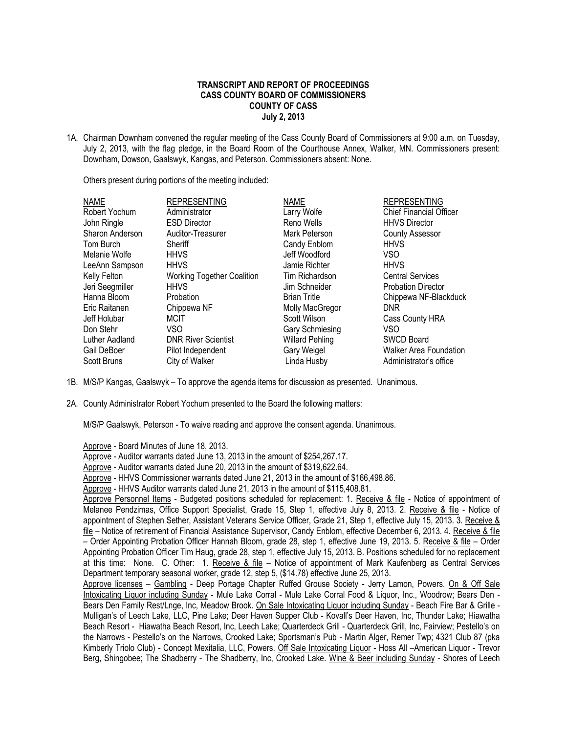## **TRANSCRIPT AND REPORT OF PROCEEDINGS CASS COUNTY BOARD OF COMMISSIONERS COUNTY OF CASS July 2, 2013**

1A. Chairman Downham convened the regular meeting of the Cass County Board of Commissioners at 9:00 a.m. on Tuesday, July 2, 2013, with the flag pledge, in the Board Room of the Courthouse Annex, Walker, MN. Commissioners present: Downham, Dowson, Gaalswyk, Kangas, and Peterson. Commissioners absent: None.

Others present during portions of the meeting included:

| <b>NAME</b>        | <b>REPRESENTING</b>               | <b>NAME</b>            | <b>REPRESENTING</b>            |
|--------------------|-----------------------------------|------------------------|--------------------------------|
| Robert Yochum      | Administrator                     | Larry Wolfe            | <b>Chief Financial Officer</b> |
| John Ringle        | <b>ESD Director</b>               | Reno Wells             | <b>HHVS Director</b>           |
| Sharon Anderson    | Auditor-Treasurer                 | Mark Peterson          | <b>County Assessor</b>         |
| Tom Burch          | Sheriff                           | Candy Enblom           | <b>HHVS</b>                    |
| Melanie Wolfe      | <b>HHVS</b>                       | Jeff Woodford          | <b>VSO</b>                     |
| LeeAnn Sampson     | <b>HHVS</b>                       | Jamie Richter          | <b>HHVS</b>                    |
| Kelly Felton       | <b>Working Together Coalition</b> | Tim Richardson         | <b>Central Services</b>        |
| Jeri Seegmiller    | <b>HHVS</b>                       | Jim Schneider          | <b>Probation Director</b>      |
| Hanna Bloom        | Probation                         | <b>Brian Tritle</b>    | Chippewa NF-Blackduck          |
| Eric Raitanen      | Chippewa NF                       | Molly MacGregor        | <b>DNR</b>                     |
| Jeff Holubar       | <b>MCIT</b>                       | Scott Wilson           | Cass County HRA                |
| Don Stehr          | VSO                               | Gary Schmiesing        | VSO                            |
| Luther Aadland     | <b>DNR River Scientist</b>        | <b>Willard Pehling</b> | <b>SWCD Board</b>              |
| Gail DeBoer        | Pilot Independent                 | Gary Weigel            | <b>Walker Area Foundation</b>  |
| <b>Scott Bruns</b> | City of Walker                    | Linda Husby            | Administrator's office         |

- 1B. M/S/P Kangas, Gaalswyk To approve the agenda items for discussion as presented. Unanimous.
- 2A. County Administrator Robert Yochum presented to the Board the following matters:

M/S/P Gaalswyk, Peterson - To waive reading and approve the consent agenda. Unanimous.

- Approve Board Minutes of June 18, 2013.
- Approve Auditor warrants dated June 13, 2013 in the amount of \$254,267.17.
- Approve Auditor warrants dated June 20, 2013 in the amount of \$319,622.64.
- Approve HHVS Commissioner warrants dated June 21, 2013 in the amount of \$166,498.86.
- Approve HHVS Auditor warrants dated June 21, 2013 in the amount of \$115,408.81.

Approve Personnel Items - Budgeted positions scheduled for replacement: 1. Receive & file - Notice of appointment of Melanee Pendzimas, Office Support Specialist, Grade 15, Step 1, effective July 8, 2013. 2. Receive & file - Notice of appointment of Stephen Sether, Assistant Veterans Service Officer, Grade 21, Step 1, effective July 15, 2013. 3. Receive & file – Notice of retirement of Financial Assistance Supervisor, Candy Enblom, effective December 6, 2013. 4. Receive & file – Order Appointing Probation Officer Hannah Bloom, grade 28, step 1, effective June 19, 2013. 5. Receive & file – Order Appointing Probation Officer Tim Haug, grade 28, step 1, effective July 15, 2013. B. Positions scheduled for no replacement at this time: None. C. Other: 1. Receive & file – Notice of appointment of Mark Kaufenberg as Central Services Department temporary seasonal worker, grade 12, step 5, (\$14.78) effective June 25, 2013.

Approve licenses – Gambling - Deep Portage Chapter Ruffed Grouse Society - Jerry Lamon, Powers. On & Off Sale Intoxicating Liquor including Sunday - Mule Lake Corral - Mule Lake Corral Food & Liquor, Inc., Woodrow; Bears Den - Bears Den Family Rest/Lnge, Inc, Meadow Brook. On Sale Intoxicating Liquor including Sunday - Beach Fire Bar & Grille - Mulligan's of Leech Lake, LLC, Pine Lake; Deer Haven Supper Club - Kovall's Deer Haven, Inc, Thunder Lake; Hiawatha Beach Resort - Hiawatha Beach Resort, Inc, Leech Lake; Quarterdeck Grill - Quarterdeck Grill, Inc, Fairview; Pestello's on the Narrows - Pestello's on the Narrows, Crooked Lake; Sportsman's Pub - Martin Alger, Remer Twp; 4321 Club 87 (pka Kimberly Triolo Club) - Concept Mexitalia, LLC, Powers. Off Sale Intoxicating Liquor - Hoss All –American Liquor - Trevor Berg, Shingobee; The Shadberry - The Shadberry, Inc, Crooked Lake. Wine & Beer including Sunday - Shores of Leech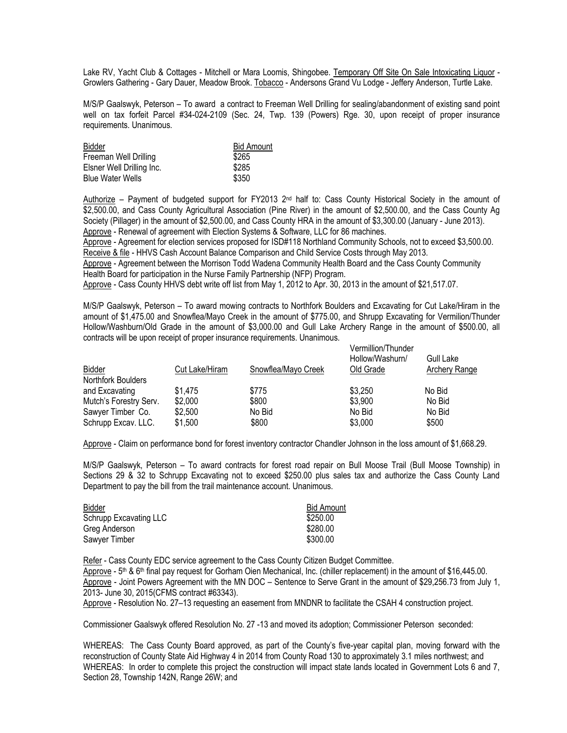Lake RV, Yacht Club & Cottages - Mitchell or Mara Loomis, Shingobee. Temporary Off Site On Sale Intoxicating Liquor - Growlers Gathering - Gary Dauer, Meadow Brook. Tobacco - Andersons Grand Vu Lodge - Jeffery Anderson, Turtle Lake.

M/S/P Gaalswyk, Peterson – To award a contract to Freeman Well Drilling for sealing/abandonment of existing sand point well on tax forfeit Parcel #34-024-2109 (Sec. 24, Twp. 139 (Powers) Rge. 30, upon receipt of proper insurance requirements. Unanimous.

| <b>Bidder</b>             | <b>Bid Amount</b> |
|---------------------------|-------------------|
| Freeman Well Drilling     | \$265             |
| Elsner Well Drilling Inc. | \$285             |
| <b>Blue Water Wells</b>   | \$350             |

Authorize – Payment of budgeted support for FY2013  $2<sup>nd</sup>$  half to: Cass County Historical Society in the amount of \$2,500.00, and Cass County Agricultural Association (Pine River) in the amount of \$2,500.00, and the Cass County Ag Society (Pillager) in the amount of \$2,500.00, and Cass County HRA in the amount of \$3,300.00 (January - June 2013). Approve - Renewal of agreement with Election Systems & Software, LLC for 86 machines.

Approve - Agreement for election services proposed for ISD#118 Northland Community Schools, not to exceed \$3,500.00. Receive & file - HHVS Cash Account Balance Comparison and Child Service Costs through May 2013.

Approve - Agreement between the Morrison Todd Wadena Community Health Board and the Cass County Community Health Board for participation in the Nurse Family Partnership (NFP) Program.

Approve - Cass County HHVS debt write off list from May 1, 2012 to Apr. 30, 2013 in the amount of \$21,517.07.

M/S/P Gaalswyk, Peterson – To award mowing contracts to Northfork Boulders and Excavating for Cut Lake/Hiram in the amount of \$1,475.00 and Snowflea/Mayo Creek in the amount of \$775.00, and Shrupp Excavating for Vermilion/Thunder Hollow/Washburn/Old Grade in the amount of \$3,000.00 and Gull Lake Archery Range in the amount of \$500.00, all contracts will be upon receipt of proper insurance requirements. Unanimous. Vermillion/Thunder

| Old Grade<br>Archery Range |
|----------------------------|
| \$3,250<br>No Bid          |
| \$3,900<br>No Bid          |
| No Bid<br>No Bid           |
| \$3,000<br>\$500           |
|                            |

Approve - Claim on performance bond for forest inventory contractor Chandler Johnson in the loss amount of \$1,668.29.

M/S/P Gaalswyk, Peterson – To award contracts for forest road repair on Bull Moose Trail (Bull Moose Township) in Sections 29 & 32 to Schrupp Excavating not to exceed \$250.00 plus sales tax and authorize the Cass County Land Department to pay the bill from the trail maintenance account. Unanimous.

| <b>Bidder</b>          | <b>Bid Amount</b> |
|------------------------|-------------------|
| Schrupp Excavating LLC | \$250.00          |
| Greg Anderson          | \$280.00          |
| Sawyer Timber          | \$300.00          |

Refer - Cass County EDC service agreement to the Cass County Citizen Budget Committee. Approve - 5th & 6th final pay request for Gorham Oien Mechanical, Inc. (chiller replacement) in the amount of \$16,445.00. Approve - Joint Powers Agreement with the MN DOC – Sentence to Serve Grant in the amount of \$29,256.73 from July 1, 2013- June 30, 2015(CFMS contract #63343).

Approve - Resolution No. 27–13 requesting an easement from MNDNR to facilitate the CSAH 4 construction project.

Commissioner Gaalswyk offered Resolution No. 27 -13 and moved its adoption; Commissioner Peterson seconded:

WHEREAS: The Cass County Board approved, as part of the County's five-year capital plan, moving forward with the reconstruction of County State Aid Highway 4 in 2014 from County Road 130 to approximately 3.1 miles northwest; and WHEREAS: In order to complete this project the construction will impact state lands located in Government Lots 6 and 7, Section 28, Township 142N, Range 26W; and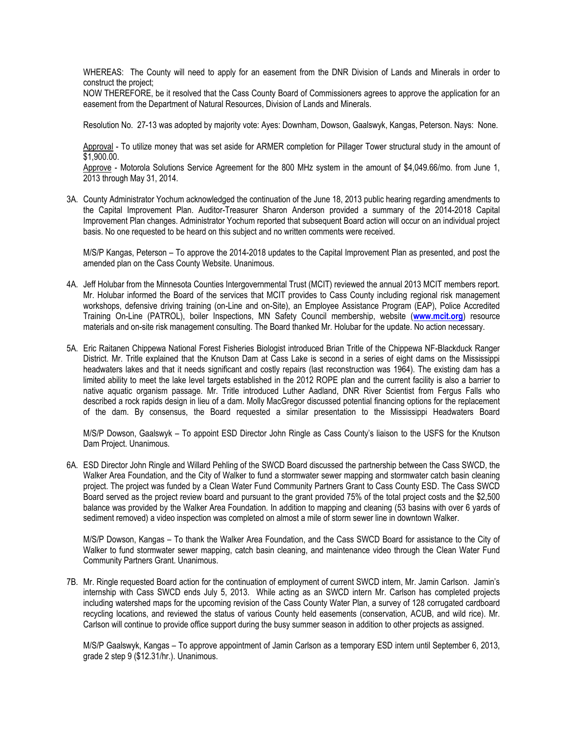WHEREAS: The County will need to apply for an easement from the DNR Division of Lands and Minerals in order to construct the project;

NOW THEREFORE, be it resolved that the Cass County Board of Commissioners agrees to approve the application for an easement from the Department of Natural Resources, Division of Lands and Minerals.

Resolution No. 27-13 was adopted by majority vote: Ayes: Downham, Dowson, Gaalswyk, Kangas, Peterson. Nays: None.

Approval - To utilize money that was set aside for ARMER completion for Pillager Tower structural study in the amount of \$1,900.00.

Approve - Motorola Solutions Service Agreement for the 800 MHz system in the amount of \$4,049.66/mo. from June 1, 2013 through May 31, 2014.

3A. County Administrator Yochum acknowledged the continuation of the June 18, 2013 public hearing regarding amendments to the Capital Improvement Plan. Auditor-Treasurer Sharon Anderson provided a summary of the 2014-2018 Capital Improvement Plan changes. Administrator Yochum reported that subsequent Board action will occur on an individual project basis. No one requested to be heard on this subject and no written comments were received.

M/S/P Kangas, Peterson – To approve the 2014-2018 updates to the Capital Improvement Plan as presented, and post the amended plan on the Cass County Website. Unanimous.

- 4A. Jeff Holubar from the Minnesota Counties Intergovernmental Trust (MCIT) reviewed the annual 2013 MCIT members report. Mr. Holubar informed the Board of the services that MCIT provides to Cass County including regional risk management workshops, defensive driving training (on-Line and on-Site), an Employee Assistance Program (EAP), Police Accredited Training On-Line (PATROL), boiler Inspections, MN Safety Council membership, website (**[www.mcit.org](http://www.mcit.org/)**) resource materials and on-site risk management consulting. The Board thanked Mr. Holubar for the update. No action necessary.
- 5A. Eric Raitanen Chippewa National Forest Fisheries Biologist introduced Brian Tritle of the Chippewa NF-Blackduck Ranger District. Mr. Tritle explained that the Knutson Dam at Cass Lake is second in a series of eight dams on the Mississippi headwaters lakes and that it needs significant and costly repairs (last reconstruction was 1964). The existing dam has a limited ability to meet the lake level targets established in the 2012 ROPE plan and the current facility is also a barrier to native aquatic organism passage. Mr. Tritle introduced Luther Aadland, DNR River Scientist from Fergus Falls who described a rock rapids design in lieu of a dam. Molly MacGregor discussed potential financing options for the replacement of the dam. By consensus, the Board requested a similar presentation to the Mississippi Headwaters Board

M/S/P Dowson, Gaalswyk – To appoint ESD Director John Ringle as Cass County's liaison to the USFS for the Knutson Dam Project. Unanimous.

6A. ESD Director John Ringle and Willard Pehling of the SWCD Board discussed the partnership between the Cass SWCD, the Walker Area Foundation, and the City of Walker to fund a stormwater sewer mapping and stormwater catch basin cleaning project. The project was funded by a Clean Water Fund Community Partners Grant to Cass County ESD. The Cass SWCD Board served as the project review board and pursuant to the grant provided 75% of the total project costs and the \$2,500 balance was provided by the Walker Area Foundation. In addition to mapping and cleaning (53 basins with over 6 yards of sediment removed) a video inspection was completed on almost a mile of storm sewer line in downtown Walker.

M/S/P Dowson, Kangas – To thank the Walker Area Foundation, and the Cass SWCD Board for assistance to the City of Walker to fund stormwater sewer mapping, catch basin cleaning, and maintenance video through the Clean Water Fund Community Partners Grant. Unanimous.

7B. Mr. Ringle requested Board action for the continuation of employment of current SWCD intern, Mr. Jamin Carlson. Jamin's internship with Cass SWCD ends July 5, 2013. While acting as an SWCD intern Mr. Carlson has completed projects including watershed maps for the upcoming revision of the Cass County Water Plan, a survey of 128 corrugated cardboard recycling locations, and reviewed the status of various County held easements (conservation, ACUB, and wild rice). Mr. Carlson will continue to provide office support during the busy summer season in addition to other projects as assigned.

M/S/P Gaalswyk, Kangas – To approve appointment of Jamin Carlson as a temporary ESD intern until September 6, 2013, grade 2 step 9 (\$12.31/hr.). Unanimous.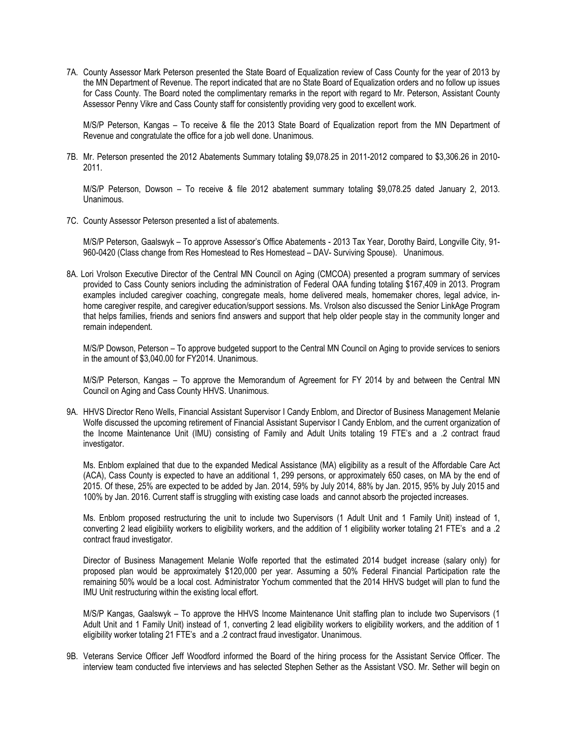7A. County Assessor Mark Peterson presented the State Board of Equalization review of Cass County for the year of 2013 by the MN Department of Revenue. The report indicated that are no State Board of Equalization orders and no follow up issues for Cass County. The Board noted the complimentary remarks in the report with regard to Mr. Peterson, Assistant County Assessor Penny Vikre and Cass County staff for consistently providing very good to excellent work.

M/S/P Peterson, Kangas – To receive & file the 2013 State Board of Equalization report from the MN Department of Revenue and congratulate the office for a job well done. Unanimous.

7B. Mr. Peterson presented the 2012 Abatements Summary totaling \$9,078.25 in 2011-2012 compared to \$3,306.26 in 2010- 2011.

M/S/P Peterson, Dowson – To receive & file 2012 abatement summary totaling \$9,078.25 dated January 2, 2013. Unanimous.

7C. County Assessor Peterson presented a list of abatements.

M/S/P Peterson, Gaalswyk – To approve Assessor's Office Abatements - 2013 Tax Year, Dorothy Baird, Longville City, 91- 960-0420 (Class change from Res Homestead to Res Homestead – DAV- Surviving Spouse). Unanimous.

8A. Lori Vrolson Executive Director of the Central MN Council on Aging (CMCOA) presented a program summary of services provided to Cass County seniors including the administration of Federal OAA funding totaling \$167,409 in 2013. Program examples included caregiver coaching, congregate meals, home delivered meals, homemaker chores, legal advice, inhome caregiver respite, and caregiver education/support sessions. Ms. Vrolson also discussed the Senior LinkAge Program that helps families, friends and seniors find answers and support that help older people stay in the community longer and remain independent.

M/S/P Dowson, Peterson – To approve budgeted support to the Central MN Council on Aging to provide services to seniors in the amount of \$3,040.00 for FY2014. Unanimous.

M/S/P Peterson, Kangas – To approve the Memorandum of Agreement for FY 2014 by and between the Central MN Council on Aging and Cass County HHVS. Unanimous.

9A. HHVS Director Reno Wells, Financial Assistant Supervisor I Candy Enblom, and Director of Business Management Melanie Wolfe discussed the upcoming retirement of Financial Assistant Supervisor I Candy Enblom, and the current organization of the Income Maintenance Unit (IMU) consisting of Family and Adult Units totaling 19 FTE's and a .2 contract fraud investigator.

Ms. Enblom explained that due to the expanded Medical Assistance (MA) eligibility as a result of the Affordable Care Act (ACA), Cass County is expected to have an additional 1, 299 persons, or approximately 650 cases, on MA by the end of 2015. Of these, 25% are expected to be added by Jan. 2014, 59% by July 2014, 88% by Jan. 2015, 95% by July 2015 and 100% by Jan. 2016. Current staff is struggling with existing case loads and cannot absorb the projected increases.

Ms. Enblom proposed restructuring the unit to include two Supervisors (1 Adult Unit and 1 Family Unit) instead of 1, converting 2 lead eligibility workers to eligibility workers, and the addition of 1 eligibility worker totaling 21 FTE's and a .2 contract fraud investigator.

Director of Business Management Melanie Wolfe reported that the estimated 2014 budget increase (salary only) for proposed plan would be approximately \$120,000 per year. Assuming a 50% Federal Financial Participation rate the remaining 50% would be a local cost. Administrator Yochum commented that the 2014 HHVS budget will plan to fund the IMU Unit restructuring within the existing local effort.

M/S/P Kangas, Gaalswyk – To approve the HHVS Income Maintenance Unit staffing plan to include two Supervisors (1 Adult Unit and 1 Family Unit) instead of 1, converting 2 lead eligibility workers to eligibility workers, and the addition of 1 eligibility worker totaling 21 FTE's and a .2 contract fraud investigator. Unanimous.

9B. Veterans Service Officer Jeff Woodford informed the Board of the hiring process for the Assistant Service Officer. The interview team conducted five interviews and has selected Stephen Sether as the Assistant VSO. Mr. Sether will begin on